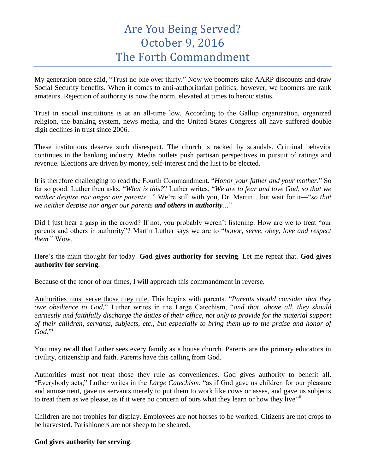## Are You Being Served? October 9, 2016 The Forth Commandment

My generation once said, "Trust no one over thirty." Now we boomers take AARP discounts and draw Social Security benefits. When it comes to anti-authoritarian politics, however, we boomers are rank amateurs. Rejection of authority is now the norm, elevated at times to heroic status.

Trust in social institutions is at an all-time low. According to the Gallup organization, organized religion, the banking system, news media, and the United States Congress all have suffered double digit declines in trust since 2006.

These institutions deserve such disrespect. The church is racked by scandals. Criminal behavior continues in the banking industry. Media outlets push partisan perspectives in pursuit of ratings and revenue. Elections are driven by money, self-interest and the lust to be elected.

It is therefore challenging to read the Fourth Commandment. "*Honor your father and your mother.*" So far so good. Luther then asks, "*What is this?*" Luther writes, "*We are to fear and love God, so that we neither despise nor anger our parents…*" We're still with you, Dr. Martin…but wait for it—"*so that we neither despise nor anger our parents and others in authority…*"

Did I just hear a gasp in the crowd? If not, you probably weren't listening. How are we to treat "our parents and others in authority"? Martin Luther says we are to "*honor, serve, obey, love and respect them.*" Wow.

Here's the main thought for today. **God gives authority for serving**. Let me repeat that. **God gives authority for serving**.

Because of the tenor of our times, I will approach this commandment in reverse.

Authorities must serve those they rule. This begins with parents. "*Parents should consider that they owe obedience to God*," Luther writes in the Large Catechism, "*and that, above all, they should earnestly and faithfully discharge the duties of their office, not only to provide for the material support of their children, servants, subjects, etc., but especially to bring them up to the praise and honor of God.*" i

You may recall that Luther sees every family as a house church. Parents are the primary educators in civility, citizenship and faith. Parents have this calling from God.

Authorities must not treat those they rule as conveniences. God gives authority to benefit all. "Everybody acts," Luther writes in the *Large Catechism*, "as if God gave us children for our pleasure and amusement, gave us servants merely to put them to work like cows or asses, and gave us subjects to treat them as we please, as if it were no concern of ours what they learn or how they live"

Children are not trophies for display. Employees are not horses to be worked. Citizens are not crops to be harvested. Parishioners are not sheep to be sheared.

**God gives authority for serving**.